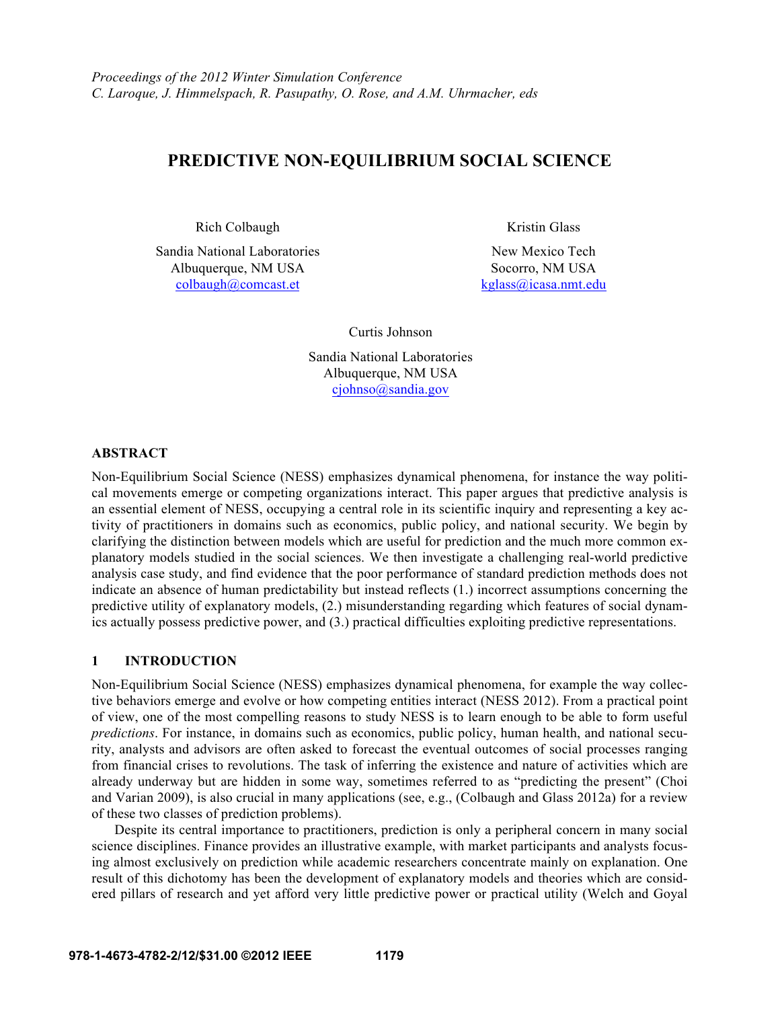# **PREDICTIVE NON-EQUILIBRIUM SOCIAL SCIENCE**

Rich Colbaugh Kristin Glass

Sandia National Laboratories New Mexico Tech Albuquerque, NM USA Socorro, NM USA colbaugh@comcast.et kglass@icasa.nmt.edu

Curtis Johnson

Sandia National Laboratories Albuquerque, NM USA cjohnso@sandia.gov

#### **ABSTRACT**

Non-Equilibrium Social Science (NESS) emphasizes dynamical phenomena, for instance the way political movements emerge or competing organizations interact. This paper argues that predictive analysis is an essential element of NESS, occupying a central role in its scientific inquiry and representing a key activity of practitioners in domains such as economics, public policy, and national security. We begin by clarifying the distinction between models which are useful for prediction and the much more common explanatory models studied in the social sciences. We then investigate a challenging real-world predictive analysis case study, and find evidence that the poor performance of standard prediction methods does not indicate an absence of human predictability but instead reflects (1.) incorrect assumptions concerning the predictive utility of explanatory models, (2.) misunderstanding regarding which features of social dynamics actually possess predictive power, and (3.) practical difficulties exploiting predictive representations.

# **1 INTRODUCTION**

Non-Equilibrium Social Science (NESS) emphasizes dynamical phenomena, for example the way collective behaviors emerge and evolve or how competing entities interact (NESS 2012). From a practical point of view, one of the most compelling reasons to study NESS is to learn enough to be able to form useful *predictions*. For instance, in domains such as economics, public policy, human health, and national security, analysts and advisors are often asked to forecast the eventual outcomes of social processes ranging from financial crises to revolutions. The task of inferring the existence and nature of activities which are already underway but are hidden in some way, sometimes referred to as "predicting the present" (Choi and Varian 2009), is also crucial in many applications (see, e.g., (Colbaugh and Glass 2012a) for a review of these two classes of prediction problems).

Despite its central importance to practitioners, prediction is only a peripheral concern in many social science disciplines. Finance provides an illustrative example, with market participants and analysts focusing almost exclusively on prediction while academic researchers concentrate mainly on explanation. One result of this dichotomy has been the development of explanatory models and theories which are considered pillars of research and yet afford very little predictive power or practical utility (Welch and Goyal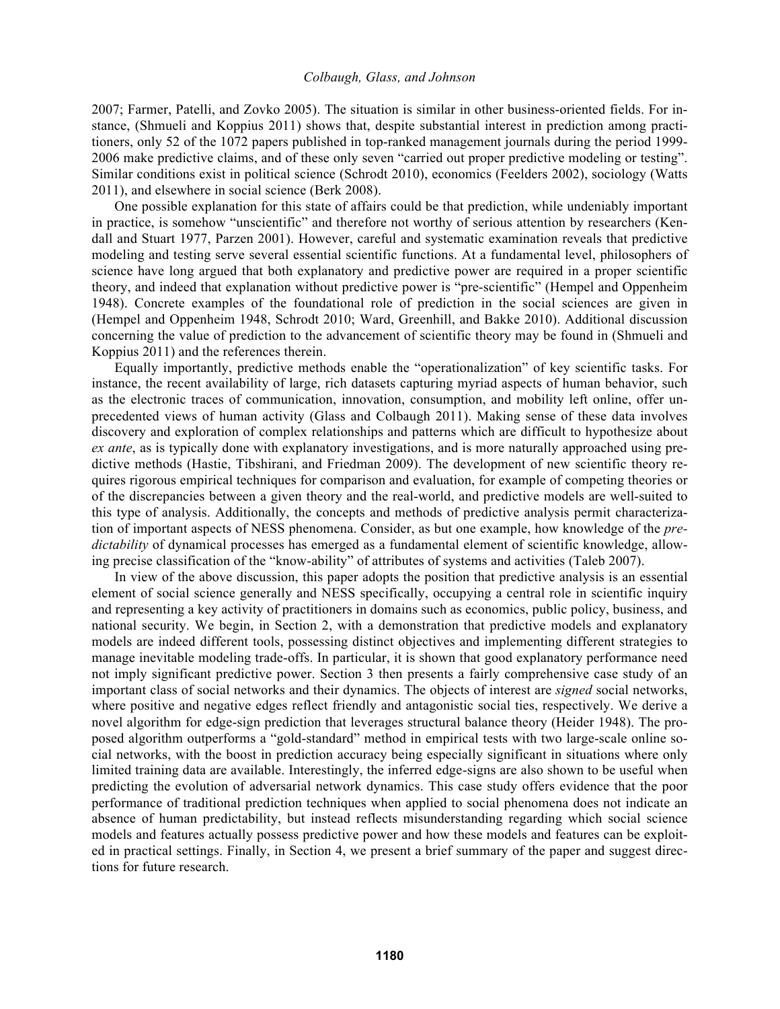2007; Farmer, Patelli, and Zovko 2005). The situation is similar in other business-oriented fields. For instance, (Shmueli and Koppius 2011) shows that, despite substantial interest in prediction among practitioners, only 52 of the 1072 papers published in top-ranked management journals during the period 1999- 2006 make predictive claims, and of these only seven "carried out proper predictive modeling or testing". Similar conditions exist in political science (Schrodt 2010), economics (Feelders 2002), sociology (Watts 2011), and elsewhere in social science (Berk 2008).

One possible explanation for this state of affairs could be that prediction, while undeniably important in practice, is somehow "unscientific" and therefore not worthy of serious attention by researchers (Kendall and Stuart 1977, Parzen 2001). However, careful and systematic examination reveals that predictive modeling and testing serve several essential scientific functions. At a fundamental level, philosophers of science have long argued that both explanatory and predictive power are required in a proper scientific theory, and indeed that explanation without predictive power is "pre-scientific" (Hempel and Oppenheim 1948). Concrete examples of the foundational role of prediction in the social sciences are given in (Hempel and Oppenheim 1948, Schrodt 2010; Ward, Greenhill, and Bakke 2010). Additional discussion concerning the value of prediction to the advancement of scientific theory may be found in (Shmueli and Koppius 2011) and the references therein.

Equally importantly, predictive methods enable the "operationalization" of key scientific tasks. For instance, the recent availability of large, rich datasets capturing myriad aspects of human behavior, such as the electronic traces of communication, innovation, consumption, and mobility left online, offer unprecedented views of human activity (Glass and Colbaugh 2011). Making sense of these data involves discovery and exploration of complex relationships and patterns which are difficult to hypothesize about *ex ante*, as is typically done with explanatory investigations, and is more naturally approached using predictive methods (Hastie, Tibshirani, and Friedman 2009). The development of new scientific theory requires rigorous empirical techniques for comparison and evaluation, for example of competing theories or of the discrepancies between a given theory and the real-world, and predictive models are well-suited to this type of analysis. Additionally, the concepts and methods of predictive analysis permit characterization of important aspects of NESS phenomena. Consider, as but one example, how knowledge of the *predictability* of dynamical processes has emerged as a fundamental element of scientific knowledge, allowing precise classification of the "know-ability" of attributes of systems and activities (Taleb 2007).

In view of the above discussion, this paper adopts the position that predictive analysis is an essential element of social science generally and NESS specifically, occupying a central role in scientific inquiry and representing a key activity of practitioners in domains such as economics, public policy, business, and national security. We begin, in Section 2, with a demonstration that predictive models and explanatory models are indeed different tools, possessing distinct objectives and implementing different strategies to manage inevitable modeling trade-offs. In particular, it is shown that good explanatory performance need not imply significant predictive power. Section 3 then presents a fairly comprehensive case study of an important class of social networks and their dynamics. The objects of interest are *signed* social networks, where positive and negative edges reflect friendly and antagonistic social ties, respectively. We derive a novel algorithm for edge-sign prediction that leverages structural balance theory (Heider 1948). The proposed algorithm outperforms a "gold-standard" method in empirical tests with two large-scale online social networks, with the boost in prediction accuracy being especially significant in situations where only limited training data are available. Interestingly, the inferred edge-signs are also shown to be useful when predicting the evolution of adversarial network dynamics. This case study offers evidence that the poor performance of traditional prediction techniques when applied to social phenomena does not indicate an absence of human predictability, but instead reflects misunderstanding regarding which social science models and features actually possess predictive power and how these models and features can be exploited in practical settings. Finally, in Section 4, we present a brief summary of the paper and suggest directions for future research.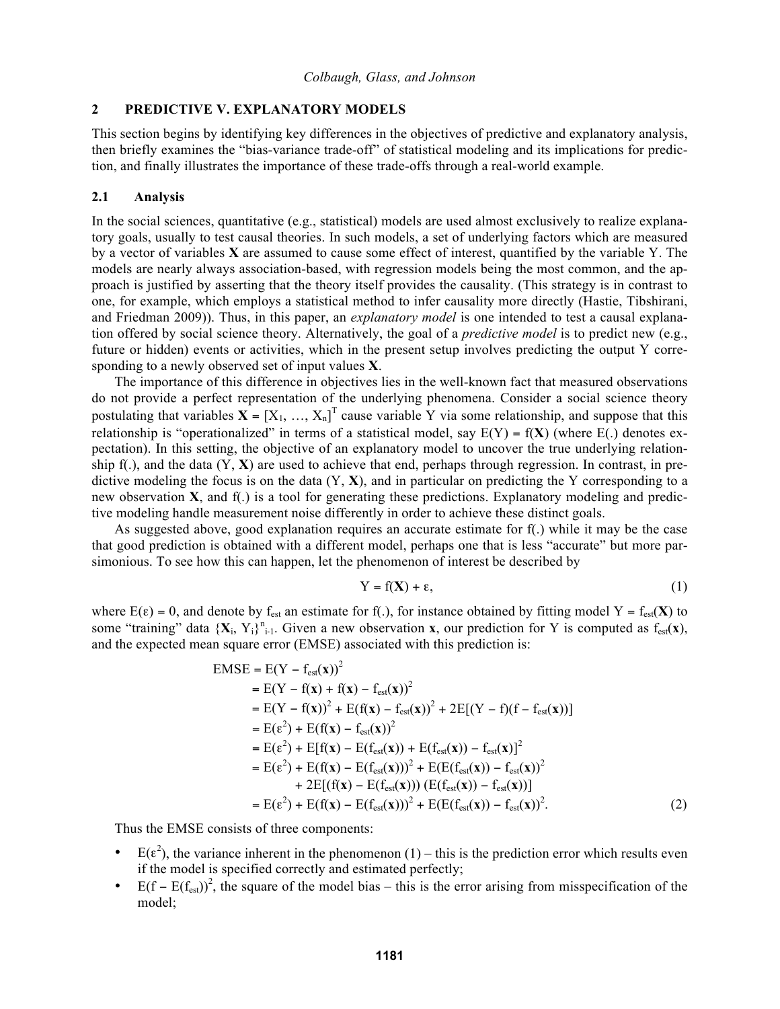# **2 PREDICTIVE V. EXPLANATORY MODELS**

This section begins by identifying key differences in the objectives of predictive and explanatory analysis, then briefly examines the "bias-variance trade-off" of statistical modeling and its implications for prediction, and finally illustrates the importance of these trade-offs through a real-world example.

# **2.1 Analysis**

In the social sciences, quantitative (e.g., statistical) models are used almost exclusively to realize explanatory goals, usually to test causal theories. In such models, a set of underlying factors which are measured by a vector of variables **X** are assumed to cause some effect of interest, quantified by the variable Y. The models are nearly always association-based, with regression models being the most common, and the approach is justified by asserting that the theory itself provides the causality. (This strategy is in contrast to one, for example, which employs a statistical method to infer causality more directly (Hastie, Tibshirani, and Friedman 2009)). Thus, in this paper, an *explanatory model* is one intended to test a causal explanation offered by social science theory. Alternatively, the goal of a *predictive model* is to predict new (e.g., future or hidden) events or activities, which in the present setup involves predicting the output Y corresponding to a newly observed set of input values **X**.

The importance of this difference in objectives lies in the well-known fact that measured observations do not provide a perfect representation of the underlying phenomena. Consider a social science theory postulating that variables  $X = [X_1, ..., X_n]^T$  cause variable Y via some relationship, and suppose that this relationship is "operationalized" in terms of a statistical model, say  $E(Y) = f(X)$  (where  $E(.)$ ) denotes expectation). In this setting, the objective of an explanatory model to uncover the true underlying relationship f(.), and the data (Y, **X**) are used to achieve that end, perhaps through regression. In contrast, in predictive modeling the focus is on the data  $(Y, X)$ , and in particular on predicting the Y corresponding to a new observation  $\bf{X}$ , and  $\bf{f}$ (.) is a tool for generating these predictions. Explanatory modeling and predictive modeling handle measurement noise differently in order to achieve these distinct goals.

As suggested above, good explanation requires an accurate estimate for f(.) while it may be the case that good prediction is obtained with a different model, perhaps one that is less "accurate" but more parsimonious. To see how this can happen, let the phenomenon of interest be described by

$$
Y = f(X) + \varepsilon,\tag{1}
$$

where  $E(\varepsilon) = 0$ , and denote by f<sub>est</sub> an estimate for f(.), for instance obtained by fitting model Y = f<sub>est</sub>(**X**) to some "training" data  $\{X_i, Y_i\}_{i=1}^n$ . Given a new observation **x**, our prediction for Y is computed as  $f_{est}(\mathbf{x})$ , and the expected mean square error (EMSE) associated with this prediction is:

$$
EMSE = E(Y - f_{est}(x))^{2}
$$
  
\n
$$
= E(Y - f(x) + f(x) - f_{est}(x))^{2}
$$
  
\n
$$
= E(Y - f(x))^{2} + E(f(x) - f_{est}(x))^{2} + 2E[(Y - f)(f - f_{est}(x))]
$$
  
\n
$$
= E(\epsilon^{2}) + E(f(x) - f_{est}(x))^{2}
$$
  
\n
$$
= E(\epsilon^{2}) + E[f(x) - E(f_{est}(x)) + E(f_{est}(x)) - f_{est}(x)]^{2}
$$
  
\n
$$
= E(\epsilon^{2}) + E(f(x) - E(f_{est}(x)))^{2} + E(E(f_{est}(x)) - f_{est}(x))^{2}
$$
  
\n
$$
+ 2E[(f(x) - E(f_{est}(x)))(E(f_{est}(x)) - f_{est}(x))]
$$
  
\n
$$
= E(\epsilon^{2}) + E(f(x) - E(f_{est}(x)))^{2} + E(E(f_{est}(x)) - f_{est}(x))^{2}.
$$
  
\n(2)

Thus the EMSE consists of three components:

- E( $\varepsilon^2$ ), the variance inherent in the phenomenon (1) this is the prediction error which results even if the model is specified correctly and estimated perfectly;
- E(f  $E(f_{est})^2$ , the square of the model bias this is the error arising from misspecification of the model;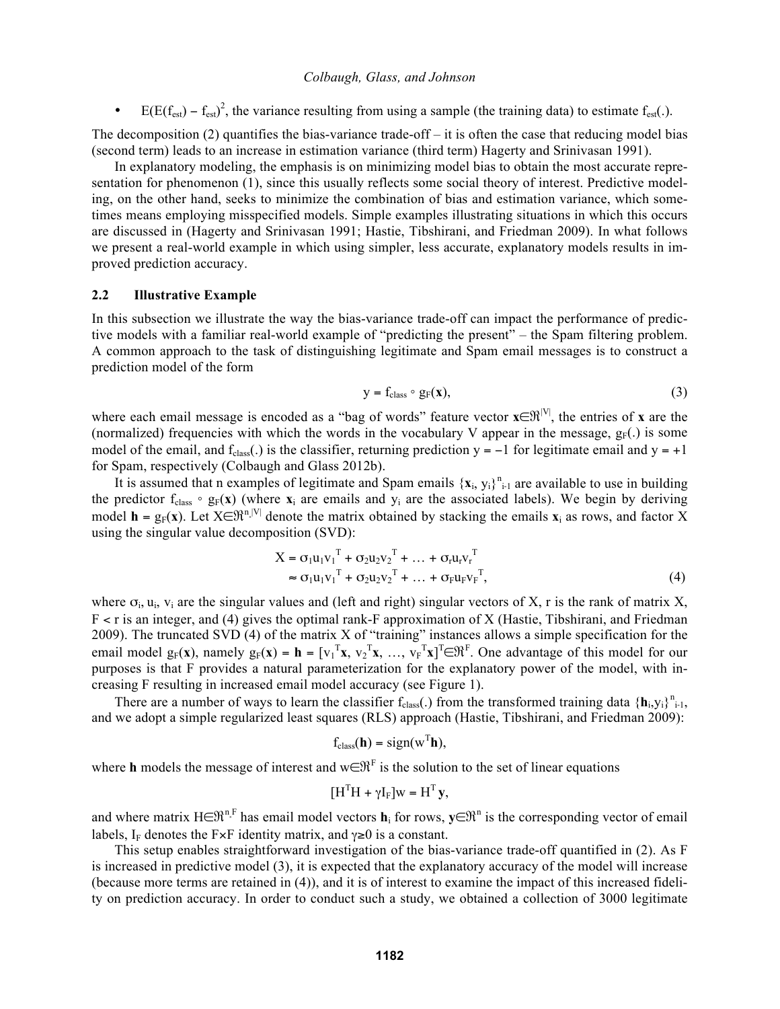• E( $E(f_{est}) - f_{est}$ )<sup>2</sup>, the variance resulting from using a sample (the training data) to estimate  $f_{est}$ (.).

The decomposition (2) quantifies the bias-variance trade-off – it is often the case that reducing model bias (second term) leads to an increase in estimation variance (third term) Hagerty and Srinivasan 1991).

In explanatory modeling, the emphasis is on minimizing model bias to obtain the most accurate representation for phenomenon (1), since this usually reflects some social theory of interest. Predictive modeling, on the other hand, seeks to minimize the combination of bias and estimation variance, which sometimes means employing misspecified models. Simple examples illustrating situations in which this occurs are discussed in (Hagerty and Srinivasan 1991; Hastie, Tibshirani, and Friedman 2009). In what follows we present a real-world example in which using simpler, less accurate, explanatory models results in improved prediction accuracy.

# **2.2 Illustrative Example**

In this subsection we illustrate the way the bias-variance trade-off can impact the performance of predictive models with a familiar real-world example of "predicting the present" – the Spam filtering problem. A common approach to the task of distinguishing legitimate and Spam email messages is to construct a prediction model of the form

$$
y = f_{class} \circ g_F(x), \tag{3}
$$

where each email message is encoded as a "bag of words" feature vector **x**∈ $\mathbb{R}^{|V|}$ , the entries of **x** are the (normalized) frequencies with which the words in the vocabulary V appear in the message,  $g_F(.)$  is some model of the email, and  $f_{\text{class}}(.)$  is the classifier, returning prediction y = −1 for legitimate email and y = +1 for Spam, respectively (Colbaugh and Glass 2012b).

It is assumed that n examples of legitimate and Spam emails  $\{x_i, y_i\}_{i=1}^n$  are available to use in building the predictor  $f_{\text{class}} \circ g_F(x)$  (where  $x_i$  are emails and  $y_i$  are the associated labels). We begin by deriving model  $h = g_F(x)$ . Let  $X \in \mathbb{R}^{n_x |V|}$  denote the matrix obtained by stacking the emails  $x_i$  as rows, and factor X using the singular value decomposition (SVD):

$$
X = \sigma_1 u_1 v_1^T + \sigma_2 u_2 v_2^T + \dots + \sigma_r u_r v_r^T
$$
  
\n
$$
\approx \sigma_1 u_1 v_1^T + \sigma_2 u_2 v_2^T + \dots + \sigma_r u_r v_r^T,
$$
 (4)

where  $\sigma_i$ ,  $u_i$ ,  $v_i$  are the singular values and (left and right) singular vectors of X, r is the rank of matrix X,  $F \le r$  is an integer, and (4) gives the optimal rank-F approximation of X (Hastie, Tibshirani, and Friedman 2009). The truncated SVD (4) of the matrix X of "training" instances allows a simple specification for the email model  $g_F(x)$ , namely  $g_F(x) = h = [v_1^T x, v_2^T x, ..., v_F^T x]^T \in \mathbb{R}^F$ . One advantage of this model for our purposes is that F provides a natural parameterization for the explanatory power of the model, with increasing F resulting in increased email model accuracy (see Figure 1).

There are a number of ways to learn the classifier  $f_{class}(.)$  from the transformed training data  $\{h_{i}, y_{i}\}_{i=1}^{n}$ , and we adopt a simple regularized least squares (RLS) approach (Hastie, Tibshirani, and Friedman 2009):

$$
f_{class}(\mathbf{h}) = sign(w^T \mathbf{h}),
$$

where **h** models the message of interest and  $w \in \mathbb{R}^F$  is the solution to the set of linear equations

$$
[\mathbf{H}^{\mathrm{T}}\mathbf{H} + \gamma \mathbf{I}_{\mathrm{F}}]\mathbf{w} = \mathbf{H}^{\mathrm{T}}\mathbf{y},
$$

and where matrix H∈ $\mathfrak{R}^{n,r}$  has email model vectors  $h_i$  for rows,  $y \in \mathfrak{R}^n$  is the corresponding vector of email labels, I<sub>F</sub> denotes the F×F identity matrix, and  $\gamma \ge 0$  is a constant.

This setup enables straightforward investigation of the bias-variance trade-off quantified in (2). As F is increased in predictive model (3), it is expected that the explanatory accuracy of the model will increase (because more terms are retained in (4)), and it is of interest to examine the impact of this increased fidelity on prediction accuracy. In order to conduct such a study, we obtained a collection of 3000 legitimate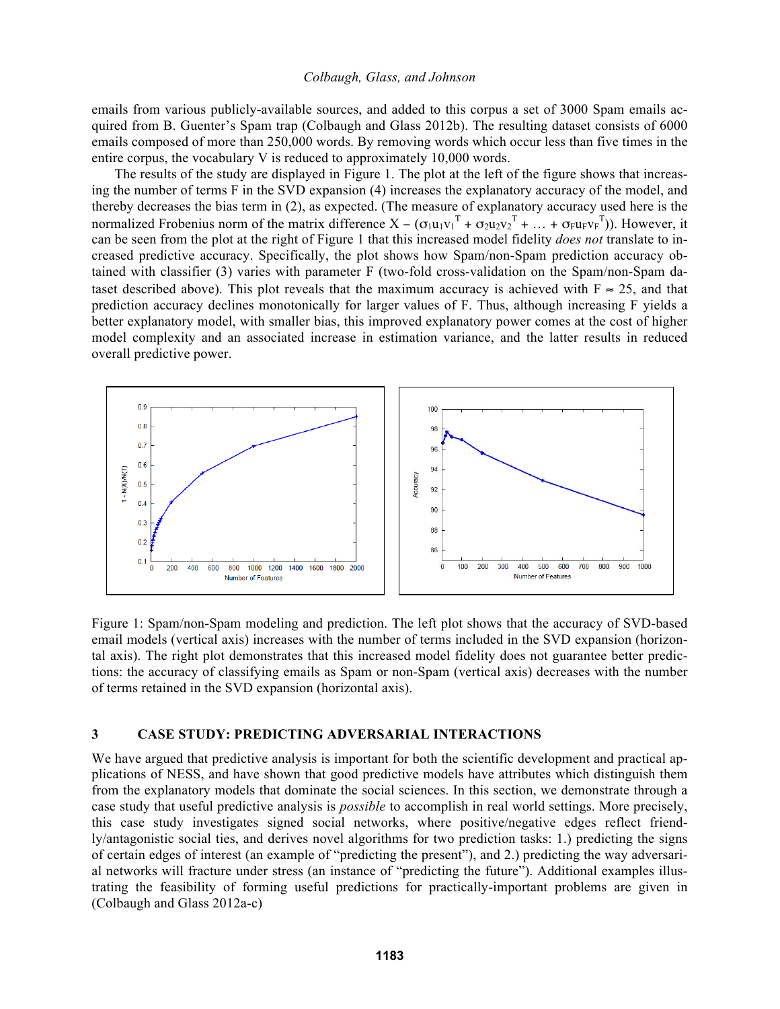emails from various publicly-available sources, and added to this corpus a set of 3000 Spam emails acquired from B. Guenter's Spam trap (Colbaugh and Glass 2012b). The resulting dataset consists of 6000 emails composed of more than 250,000 words. By removing words which occur less than five times in the entire corpus, the vocabulary V is reduced to approximately 10,000 words.

The results of the study are displayed in Figure 1. The plot at the left of the figure shows that increasing the number of terms F in the SVD expansion (4) increases the explanatory accuracy of the model, and thereby decreases the bias term in (2), as expected. (The measure of explanatory accuracy used here is the normalized Frobenius norm of the matrix difference  $X - (\sigma_1 u_1 v_1^T + \sigma_2 u_2 v_2^T + ... + \sigma_F u_F v_F^T)$ ). However, it can be seen from the plot at the right of Figure 1 that this increased model fidelity *does not* translate to increased predictive accuracy. Specifically, the plot shows how Spam/non-Spam prediction accuracy obtained with classifier (3) varies with parameter F (two-fold cross-validation on the Spam/non-Spam dataset described above). This plot reveals that the maximum accuracy is achieved with  $F \approx 25$ , and that prediction accuracy declines monotonically for larger values of F. Thus, although increasing F yields a better explanatory model, with smaller bias, this improved explanatory power comes at the cost of higher model complexity and an associated increase in estimation variance, and the latter results in reduced overall predictive power.



Figure 1: Spam/non-Spam modeling and prediction. The left plot shows that the accuracy of SVD-based email models (vertical axis) increases with the number of terms included in the SVD expansion (horizontal axis). The right plot demonstrates that this increased model fidelity does not guarantee better predictions: the accuracy of classifying emails as Spam or non-Spam (vertical axis) decreases with the number of terms retained in the SVD expansion (horizontal axis).

#### **3 CASE STUDY: PREDICTING ADVERSARIAL INTERACTIONS**

We have argued that predictive analysis is important for both the scientific development and practical applications of NESS, and have shown that good predictive models have attributes which distinguish them from the explanatory models that dominate the social sciences. In this section, we demonstrate through a case study that useful predictive analysis is *possible* to accomplish in real world settings. More precisely, this case study investigates signed social networks, where positive/negative edges reflect friendly/antagonistic social ties, and derives novel algorithms for two prediction tasks: 1.) predicting the signs of certain edges of interest (an example of "predicting the present"), and 2.) predicting the way adversarial networks will fracture under stress (an instance of "predicting the future"). Additional examples illustrating the feasibility of forming useful predictions for practically-important problems are given in (Colbaugh and Glass 2012a-c)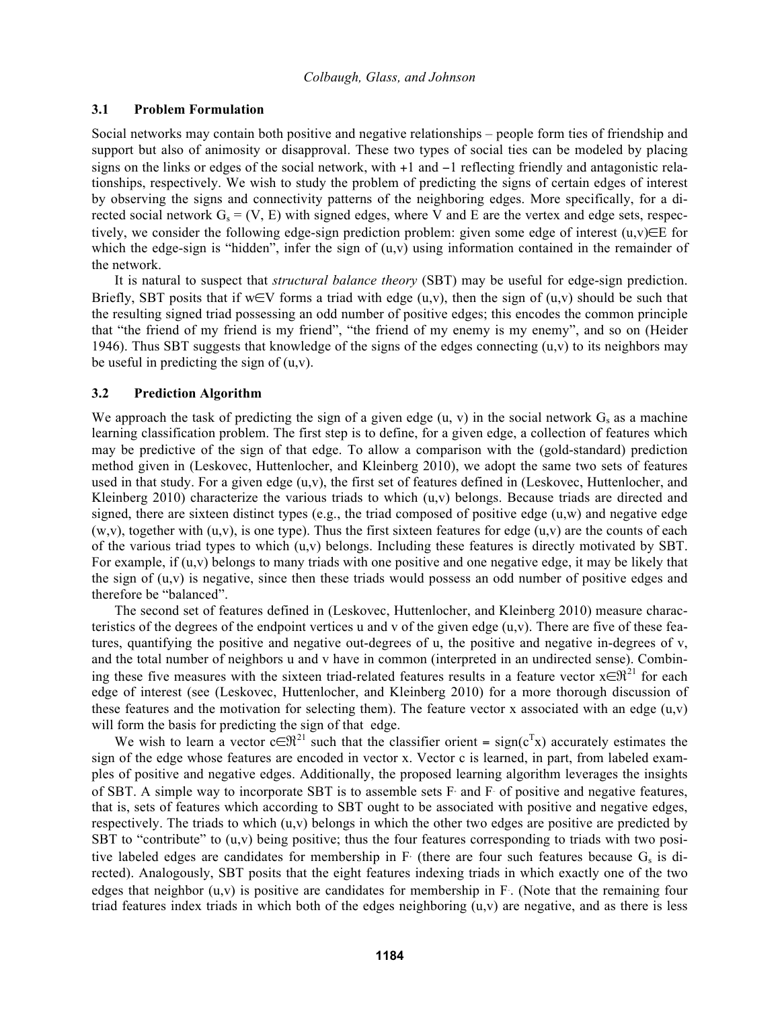# **3.1 Problem Formulation**

Social networks may contain both positive and negative relationships – people form ties of friendship and support but also of animosity or disapproval. These two types of social ties can be modeled by placing signs on the links or edges of the social network, with +1 and −1 reflecting friendly and antagonistic relationships, respectively. We wish to study the problem of predicting the signs of certain edges of interest by observing the signs and connectivity patterns of the neighboring edges. More specifically, for a directed social network  $G_s = (V, E)$  with signed edges, where V and E are the vertex and edge sets, respectively, we consider the following edge-sign prediction problem: given some edge of interest (u,v)∈E for which the edge-sign is "hidden", infer the sign of  $(u,v)$  using information contained in the remainder of the network.

It is natural to suspect that *structural balance theory* (SBT) may be useful for edge-sign prediction. Briefly, SBT posits that if w∈V forms a triad with edge (u,v), then the sign of (u,v) should be such that the resulting signed triad possessing an odd number of positive edges; this encodes the common principle that "the friend of my friend is my friend", "the friend of my enemy is my enemy", and so on (Heider 1946). Thus SBT suggests that knowledge of the signs of the edges connecting  $(u,v)$  to its neighbors may be useful in predicting the sign of  $(u,v)$ .

#### **3.2 Prediction Algorithm**

We approach the task of predicting the sign of a given edge  $(u, v)$  in the social network  $G_s$  as a machine learning classification problem. The first step is to define, for a given edge, a collection of features which may be predictive of the sign of that edge. To allow a comparison with the (gold-standard) prediction method given in (Leskovec, Huttenlocher, and Kleinberg 2010), we adopt the same two sets of features used in that study. For a given edge  $(u, v)$ , the first set of features defined in (Leskovec, Huttenlocher, and Kleinberg 2010) characterize the various triads to which  $(u,v)$  belongs. Because triads are directed and signed, there are sixteen distinct types (e.g., the triad composed of positive edge (u,w) and negative edge  $(w, v)$ , together with  $(u, v)$ , is one type). Thus the first sixteen features for edge  $(u, v)$  are the counts of each of the various triad types to which (u,v) belongs. Including these features is directly motivated by SBT. For example, if (u,v) belongs to many triads with one positive and one negative edge, it may be likely that the sign of  $(u,v)$  is negative, since then these triads would possess an odd number of positive edges and therefore be "balanced".

The second set of features defined in (Leskovec, Huttenlocher, and Kleinberg 2010) measure characteristics of the degrees of the endpoint vertices u and v of the given edge  $(u,v)$ . There are five of these features, quantifying the positive and negative out-degrees of u, the positive and negative in-degrees of v, and the total number of neighbors u and v have in common (interpreted in an undirected sense). Combining these five measures with the sixteen triad-related features results in a feature vector  $x \in \mathbb{R}^{21}$  for each edge of interest (see (Leskovec, Huttenlocher, and Kleinberg 2010) for a more thorough discussion of these features and the motivation for selecting them). The feature vector x associated with an edge  $(u, v)$ will form the basis for predicting the sign of that edge.

We wish to learn a vector  $c \in \mathbb{R}^{21}$  such that the classifier orient = sign( $c^T x$ ) accurately estimates the sign of the edge whose features are encoded in vector x. Vector c is learned, in part, from labeled examples of positive and negative edges. Additionally, the proposed learning algorithm leverages the insights of SBT. A simple way to incorporate SBT is to assemble sets F<sup>+</sup> and F<sup>−</sup> of positive and negative features, that is, sets of features which according to SBT ought to be associated with positive and negative edges, respectively. The triads to which  $(u, v)$  belongs in which the other two edges are positive are predicted by SBT to "contribute" to  $(u,v)$  being positive; thus the four features corresponding to triads with two positive labeled edges are candidates for membership in  $F_+$  (there are four such features because  $G_s$  is directed). Analogously, SBT posits that the eight features indexing triads in which exactly one of the two edges that neighbor (u,v) is positive are candidates for membership in F−. (Note that the remaining four triad features index triads in which both of the edges neighboring  $(u, v)$  are negative, and as there is less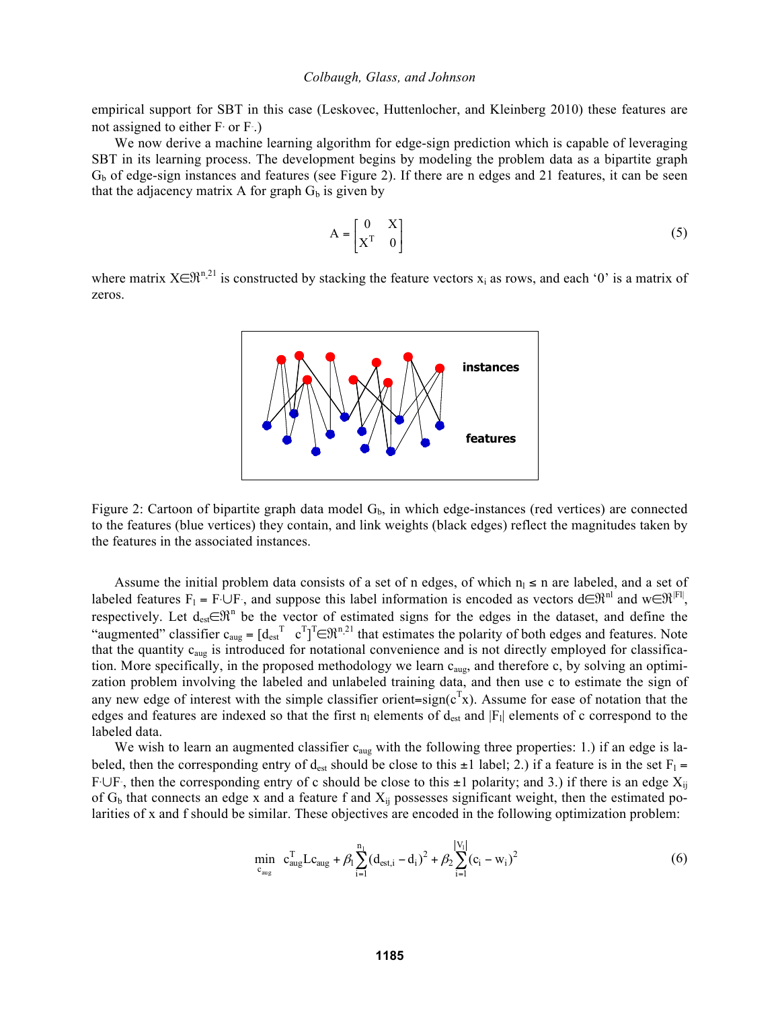empirical support for SBT in this case (Leskovec, Huttenlocher, and Kleinberg 2010) these features are not assigned to either  $F$  or  $F$ .)

We now derive a machine learning algorithm for edge-sign prediction which is capable of leveraging SBT in its learning process. The development begins by modeling the problem data as a bipartite graph  $G_b$  of edge-sign instances and features (see Figure 2). If there are n edges and 21 features, it can be seen that the adjacency matrix A for graph  $G_b$  is given by

$$
A = \begin{bmatrix} 0 & X \\ X^T & 0 \end{bmatrix}
$$
 (5)

where matrix  $X \in \mathbb{R}^{n \times 21}$  is constructed by stacking the feature vectors  $x_i$  as rows, and each '0' is a matrix of zeros.



Figure 2: Cartoon of bipartite graph data model  $G<sub>b</sub>$ , in which edge-instances (red vertices) are connected to the features (blue vertices) they contain, and link weights (black edges) reflect the magnitudes taken by the features in the associated instances.

Assume the initial problem data consists of a set of n edges, of which  $n_1 \le n$  are labeled, and a set of labeled features  $F_1 = F \cup F$ -, and suppose this label information is encoded as vectors d∈ $\mathfrak{R}^{\text{nl}}$  and w∈ $\mathfrak{R}^{\text{lFI}}$ , respectively. Let  $d_{est} \in \mathfrak{R}^n$  be the vector of estimated signs for the edges in the dataset, and define the "augmented" classifier  $c_{\text{aug}} = [d_{\text{est}}^T \ c^T]^T \in \mathbb{R}^{n,21}$  that estimates the polarity of both edges and features. Note that the quantity caug is introduced for notational convenience and is not directly employed for classification. More specifically, in the proposed methodology we learn c<sub>aug</sub>, and therefore c, by solving an optimization problem involving the labeled and unlabeled training data, and then use c to estimate the sign of any new edge of interest with the simple classifier orient=sign( $c<sup>T</sup>x$ ). Assume for ease of notation that the edges and features are indexed so that the first  $n_1$  elements of  $d_{est}$  and  $|F_1|$  elements of c correspond to the labeled data.

We wish to learn an augmented classifier  $c_{\text{aug}}$  with the following three properties: 1.) if an edge is labeled, then the corresponding entry of d<sub>est</sub> should be close to this  $\pm 1$  label; 2.) if a feature is in the set  $F_1 =$ F⋅∪F⋅, then the corresponding entry of c should be close to this  $\pm 1$  polarity; and 3.) if there is an edge  $X_{ij}$ of  $G_b$  that connects an edge x and a feature f and  $X_{ij}$  possesses significant weight, then the estimated polarities of x and f should be similar. These objectives are encoded in the following optimization problem:

$$
\min_{c_{\text{aug}}} c_{\text{aug}}^{\text{T}} L c_{\text{aug}} + \beta_1 \sum_{i=1}^{n_1} (d_{\text{est},i} - d_i)^2 + \beta_2 \sum_{i=1}^{|V_i|} (c_i - w_i)^2 \tag{6}
$$

 $\sqrt{2}$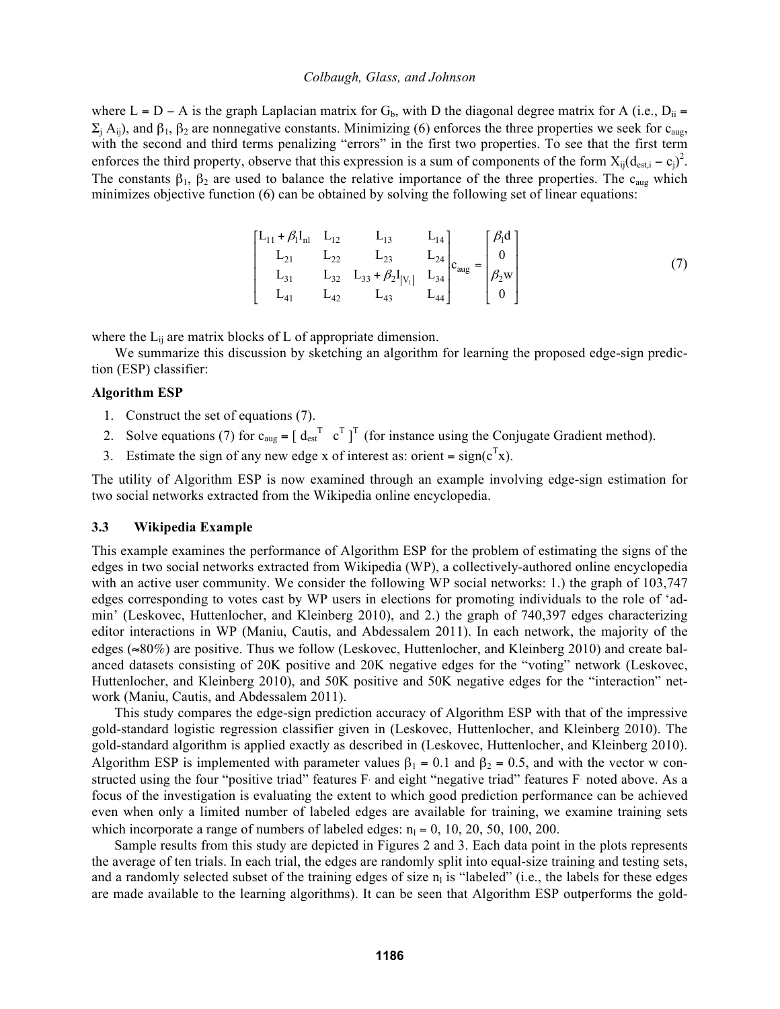where L = D − A is the graph Laplacian matrix for  $G_b$ , with D the diagonal degree matrix for A (i.e., D<sub>ii</sub> =  $\Sigma_i$ , A<sub>ij</sub>), and  $\beta_1$ ,  $\beta_2$  are nonnegative constants. Minimizing (6) enforces the three properties we seek for c<sub>aug</sub>, with the second and third terms penalizing "errors" in the first two properties. To see that the first term enforces the third property, observe that this expression is a sum of components of the form  $X_{ij}(d_{est,i} - c_j)^2$ . The constants  $\beta_1$ ,  $\beta_2$  are used to balance the relative importance of the three properties. The c<sub>aug</sub> which minimizes objective function (6) can be obtained by solving the following set of linear equations:

$$
\begin{bmatrix}\nL_{11} + \beta_1 I_{n1} & L_{12} & L_{13} & L_{14} \\
L_{21} & L_{22} & L_{23} & L_{24} \\
L_{31} & L_{32} & L_{33} + \beta_2 I_{|V_1|} & L_{34} \\
L_{41} & L_{42} & L_{43} & L_{44}\n\end{bmatrix} c_{aug} = \begin{bmatrix} \beta_1 d \\ 0 \\ \beta_2 w \\ 0 \end{bmatrix}
$$
\n(7)

where the  $L_{ii}$  are matrix blocks of L of appropriate dimension.

We summarize this discussion by sketching an algorithm for learning the proposed edge-sign prediction (ESP) classifier:

### **Algorithm ESP**

- 1. Construct the set of equations (7).
- 2. Solve equations (7) for  $c_{\text{aug}} = [d_{\text{est}}^T \ c^T]^T$  (for instance using the Conjugate Gradient method).
- 3. Estimate the sign of any new edge x of interest as: orient =  $sign(c^T x)$ .

The utility of Algorithm ESP is now examined through an example involving edge-sign estimation for two social networks extracted from the Wikipedia online encyclopedia.

# **3.3 Wikipedia Example**

This example examines the performance of Algorithm ESP for the problem of estimating the signs of the edges in two social networks extracted from Wikipedia (WP), a collectively-authored online encyclopedia with an active user community. We consider the following WP social networks: 1.) the graph of 103,747 edges corresponding to votes cast by WP users in elections for promoting individuals to the role of 'admin' (Leskovec, Huttenlocher, and Kleinberg 2010), and 2.) the graph of 740,397 edges characterizing editor interactions in WP (Maniu, Cautis, and Abdessalem 2011). In each network, the majority of the edges (≈80%) are positive. Thus we follow (Leskovec, Huttenlocher, and Kleinberg 2010) and create balanced datasets consisting of 20K positive and 20K negative edges for the "voting" network (Leskovec, Huttenlocher, and Kleinberg 2010), and 50K positive and 50K negative edges for the "interaction" network (Maniu, Cautis, and Abdessalem 2011).

This study compares the edge-sign prediction accuracy of Algorithm ESP with that of the impressive gold-standard logistic regression classifier given in (Leskovec, Huttenlocher, and Kleinberg 2010). The gold-standard algorithm is applied exactly as described in (Leskovec, Huttenlocher, and Kleinberg 2010). Algorithm ESP is implemented with parameter values  $\beta_1 = 0.1$  and  $\beta_2 = 0.5$ , and with the vector w constructed using the four "positive triad" features F+ and eight "negative triad" features F- noted above. As a focus of the investigation is evaluating the extent to which good prediction performance can be achieved even when only a limited number of labeled edges are available for training, we examine training sets which incorporate a range of numbers of labeled edges:  $n_1 = 0$ , 10, 20, 50, 100, 200.

Sample results from this study are depicted in Figures 2 and 3. Each data point in the plots represents the average of ten trials. In each trial, the edges are randomly split into equal-size training and testing sets, and a randomly selected subset of the training edges of size  $n<sub>l</sub>$  is "labeled" (i.e., the labels for these edges are made available to the learning algorithms). It can be seen that Algorithm ESP outperforms the gold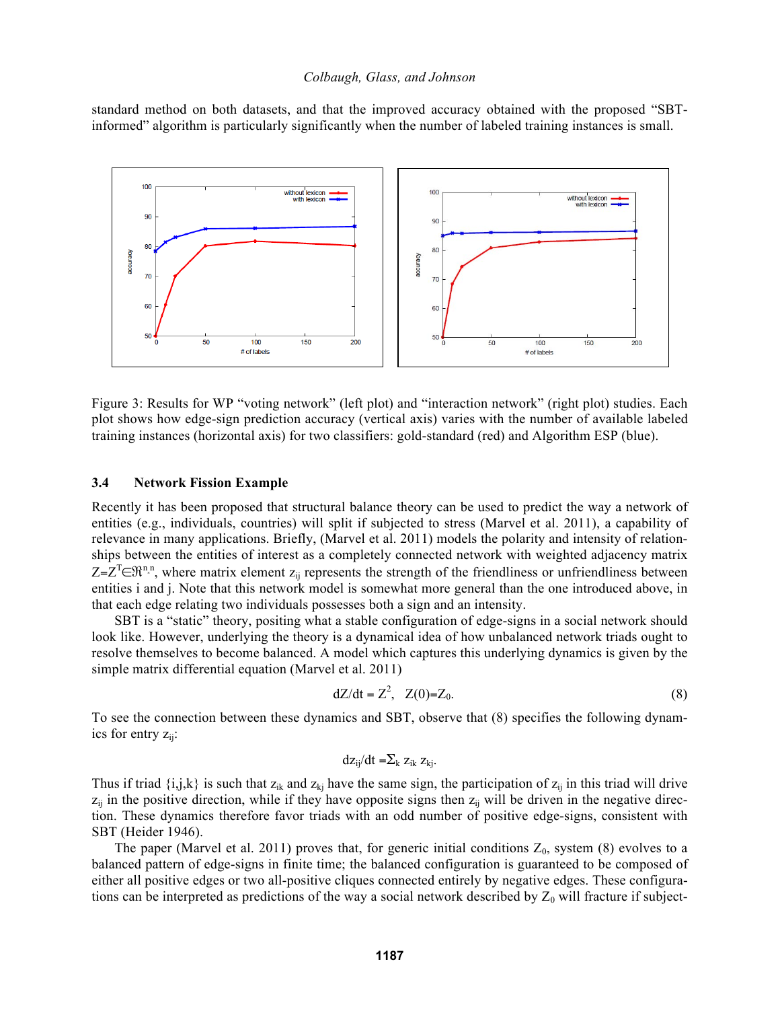standard method on both datasets, and that the improved accuracy obtained with the proposed "SBTinformed" algorithm is particularly significantly when the number of labeled training instances is small.



Figure 3: Results for WP "voting network" (left plot) and "interaction network" (right plot) studies. Each plot shows how edge-sign prediction accuracy (vertical axis) varies with the number of available labeled training instances (horizontal axis) for two classifiers: gold-standard (red) and Algorithm ESP (blue).

# **3.4 Network Fission Example**

Recently it has been proposed that structural balance theory can be used to predict the way a network of entities (e.g., individuals, countries) will split if subjected to stress (Marvel et al. 2011), a capability of relevance in many applications. Briefly, (Marvel et al. 2011) models the polarity and intensity of relationships between the entities of interest as a completely connected network with weighted adjacency matrix  $Z = Z^T \in \mathbb{R}^{n,n}$ , where matrix element  $z_{ij}$  represents the strength of the friendliness or unfriendliness between entities i and j. Note that this network model is somewhat more general than the one introduced above, in that each edge relating two individuals possesses both a sign and an intensity.

SBT is a "static" theory, positing what a stable configuration of edge-signs in a social network should look like. However, underlying the theory is a dynamical idea of how unbalanced network triads ought to resolve themselves to become balanced. A model which captures this underlying dynamics is given by the simple matrix differential equation (Marvel et al. 2011)

$$
dZ/dt = Z^2, \quad Z(0)=Z_0.
$$
 (8)

To see the connection between these dynamics and SBT, observe that (8) specifies the following dynamics for entry  $z_{ii}$ :

$$
dz_{ij}/dt = \sum_k z_{ik} z_{kj}.
$$

Thus if triad  $\{i,j,k\}$  is such that  $z_{ik}$  and  $z_{ki}$  have the same sign, the participation of  $z_{ij}$  in this triad will drive  $z_{ij}$  in the positive direction, while if they have opposite signs then  $z_{ij}$  will be driven in the negative direction. These dynamics therefore favor triads with an odd number of positive edge-signs, consistent with SBT (Heider 1946).

The paper (Marvel et al. 2011) proves that, for generic initial conditions  $Z_0$ , system (8) evolves to a balanced pattern of edge-signs in finite time; the balanced configuration is guaranteed to be composed of either all positive edges or two all-positive cliques connected entirely by negative edges. These configurations can be interpreted as predictions of the way a social network described by  $Z_0$  will fracture if subject-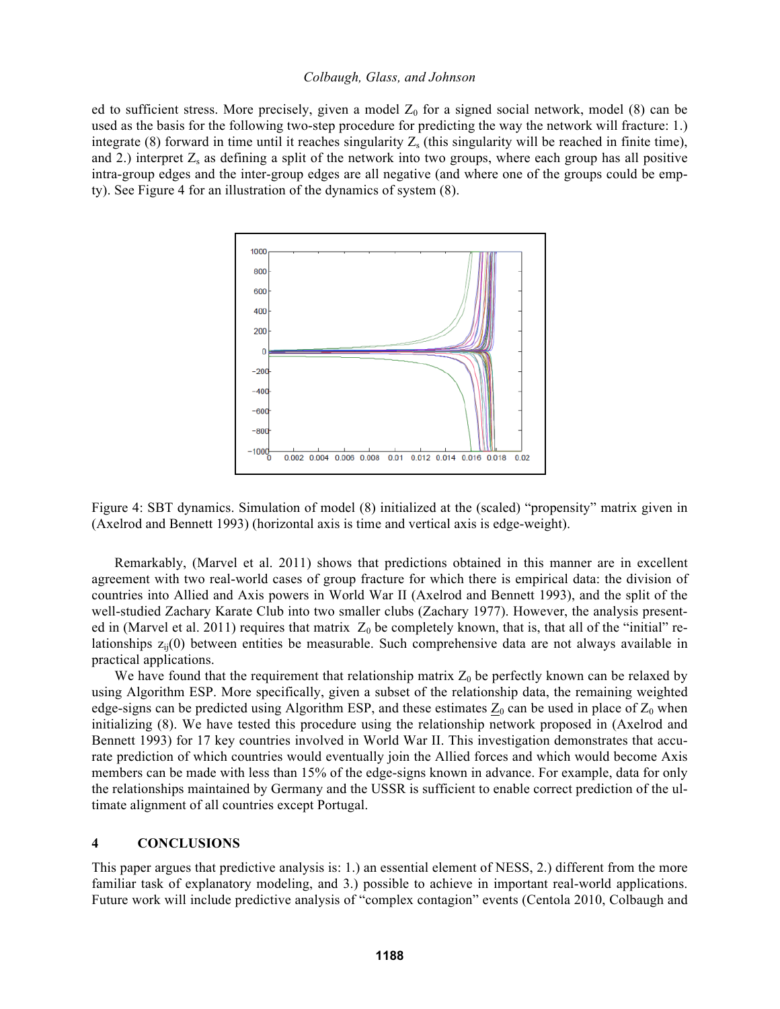ed to sufficient stress. More precisely, given a model  $Z_0$  for a signed social network, model (8) can be used as the basis for the following two-step procedure for predicting the way the network will fracture: 1.) integrate (8) forward in time until it reaches singularity  $Z_s$  (this singularity will be reached in finite time), and 2.) interpret  $Z_s$  as defining a split of the network into two groups, where each group has all positive intra-group edges and the inter-group edges are all negative (and where one of the groups could be empty). See Figure 4 for an illustration of the dynamics of system (8).



Figure 4: SBT dynamics. Simulation of model (8) initialized at the (scaled) "propensity" matrix given in (Axelrod and Bennett 1993) (horizontal axis is time and vertical axis is edge-weight).

Remarkably, (Marvel et al. 2011) shows that predictions obtained in this manner are in excellent agreement with two real-world cases of group fracture for which there is empirical data: the division of countries into Allied and Axis powers in World War II (Axelrod and Bennett 1993), and the split of the well-studied Zachary Karate Club into two smaller clubs (Zachary 1977). However, the analysis presented in (Marvel et al. 2011) requires that matrix  $Z_0$  be completely known, that is, that all of the "initial" relationships  $z_{ii}(0)$  between entities be measurable. Such comprehensive data are not always available in practical applications.

We have found that the requirement that relationship matrix  $Z_0$  be perfectly known can be relaxed by using Algorithm ESP. More specifically, given a subset of the relationship data, the remaining weighted edge-signs can be predicted using Algorithm ESP, and these estimates  $Z_0$  can be used in place of  $Z_0$  when initializing (8). We have tested this procedure using the relationship network proposed in (Axelrod and Bennett 1993) for 17 key countries involved in World War II. This investigation demonstrates that accurate prediction of which countries would eventually join the Allied forces and which would become Axis members can be made with less than 15% of the edge-signs known in advance. For example, data for only the relationships maintained by Germany and the USSR is sufficient to enable correct prediction of the ultimate alignment of all countries except Portugal.

# **4 CONCLUSIONS**

This paper argues that predictive analysis is: 1.) an essential element of NESS, 2.) different from the more familiar task of explanatory modeling, and 3.) possible to achieve in important real-world applications. Future work will include predictive analysis of "complex contagion" events (Centola 2010, Colbaugh and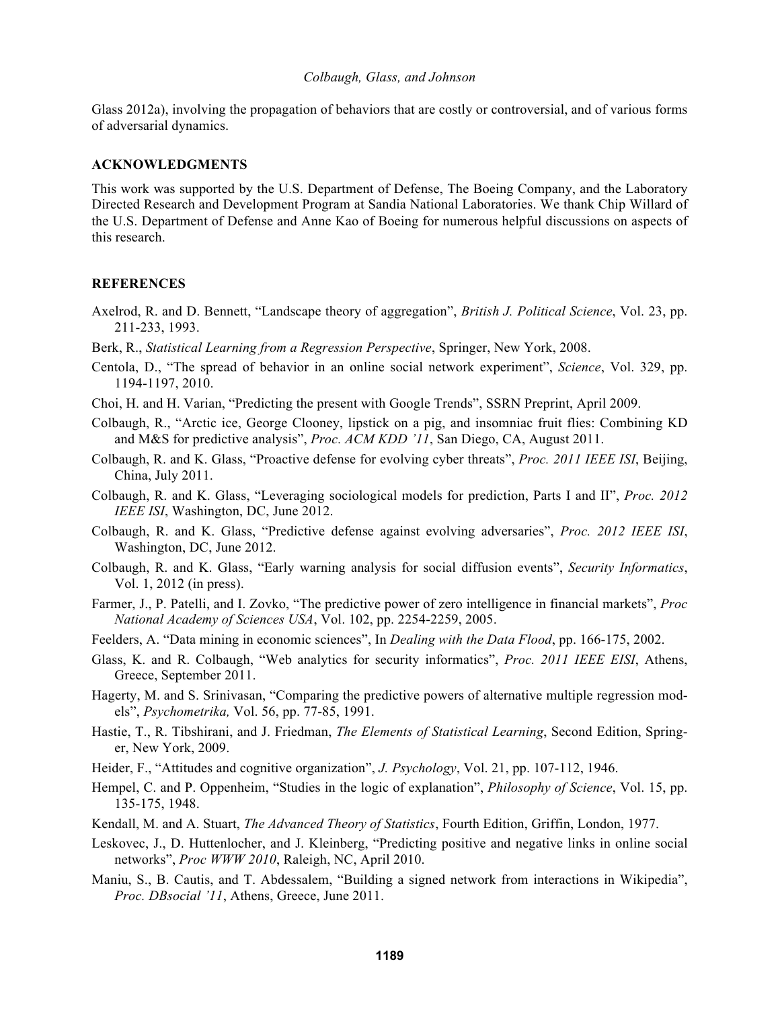Glass 2012a), involving the propagation of behaviors that are costly or controversial, and of various forms of adversarial dynamics.

### **ACKNOWLEDGMENTS**

This work was supported by the U.S. Department of Defense, The Boeing Company, and the Laboratory Directed Research and Development Program at Sandia National Laboratories. We thank Chip Willard of the U.S. Department of Defense and Anne Kao of Boeing for numerous helpful discussions on aspects of this research.

# **REFERENCES**

- Axelrod, R. and D. Bennett, "Landscape theory of aggregation", *British J. Political Science*, Vol. 23, pp. 211-233, 1993.
- Berk, R., *Statistical Learning from a Regression Perspective*, Springer, New York, 2008.
- Centola, D., "The spread of behavior in an online social network experiment", *Science*, Vol. 329, pp. 1194-1197, 2010.
- Choi, H. and H. Varian, "Predicting the present with Google Trends", SSRN Preprint, April 2009.
- Colbaugh, R., "Arctic ice, George Clooney, lipstick on a pig, and insomniac fruit flies: Combining KD and M&S for predictive analysis", *Proc. ACM KDD '11*, San Diego, CA, August 2011.
- Colbaugh, R. and K. Glass, "Proactive defense for evolving cyber threats", *Proc. 2011 IEEE ISI*, Beijing, China, July 2011.
- Colbaugh, R. and K. Glass, "Leveraging sociological models for prediction, Parts I and II", *Proc. 2012 IEEE ISI*, Washington, DC, June 2012.
- Colbaugh, R. and K. Glass, "Predictive defense against evolving adversaries", *Proc. 2012 IEEE ISI*, Washington, DC, June 2012.
- Colbaugh, R. and K. Glass, "Early warning analysis for social diffusion events", *Security Informatics*, Vol. 1, 2012 (in press).
- Farmer, J., P. Patelli, and I. Zovko, "The predictive power of zero intelligence in financial markets", *Proc National Academy of Sciences USA*, Vol. 102, pp. 2254-2259, 2005.
- Feelders, A. "Data mining in economic sciences", In *Dealing with the Data Flood*, pp. 166-175, 2002.
- Glass, K. and R. Colbaugh, "Web analytics for security informatics", *Proc. 2011 IEEE EISI*, Athens, Greece, September 2011.
- Hagerty, M. and S. Srinivasan, "Comparing the predictive powers of alternative multiple regression models", *Psychometrika,* Vol. 56, pp. 77-85, 1991.
- Hastie, T., R. Tibshirani, and J. Friedman, *The Elements of Statistical Learning*, Second Edition, Springer, New York, 2009.
- Heider, F., "Attitudes and cognitive organization", *J. Psychology*, Vol. 21, pp. 107-112, 1946.
- Hempel, C. and P. Oppenheim, "Studies in the logic of explanation", *Philosophy of Science*, Vol. 15, pp. 135-175, 1948.
- Kendall, M. and A. Stuart, *The Advanced Theory of Statistics*, Fourth Edition, Griffin, London, 1977.
- Leskovec, J., D. Huttenlocher, and J. Kleinberg, "Predicting positive and negative links in online social networks", *Proc WWW 2010*, Raleigh, NC, April 2010.
- Maniu, S., B. Cautis, and T. Abdessalem, "Building a signed network from interactions in Wikipedia", *Proc. DBsocial '11*, Athens, Greece, June 2011.